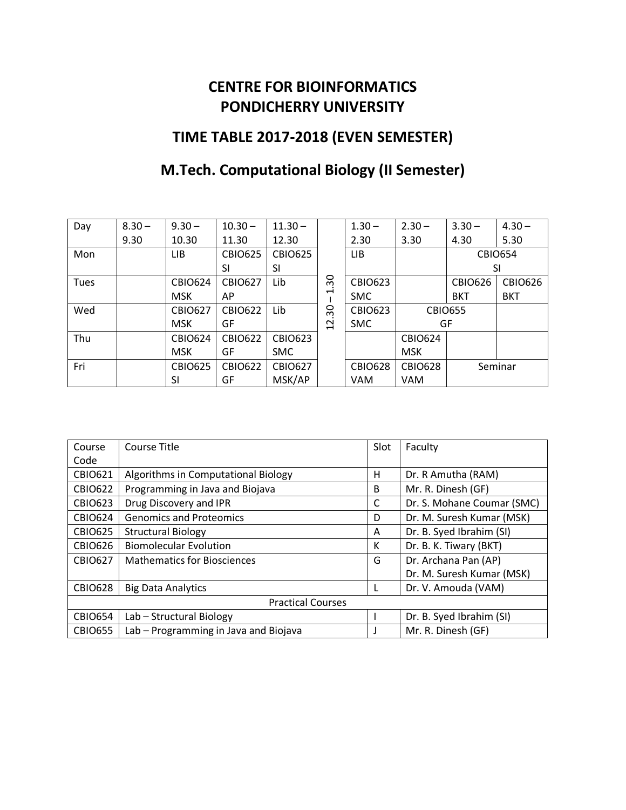### **CENTRE FOR BIOINFORMATICS PONDICHERRY UNIVERSITY**

## **TIME TABLE 2017-2018 (EVEN SEMESTER)**

# **M.Tech. Computational Biology (II Semester)**

| Day         | $8.30 -$ | $9.30 -$       | $10.30 -$      | $11.30 -$      |                | $1.30 -$       | $2.30 -$       | $3.30 -$       | $4.30 -$       |
|-------------|----------|----------------|----------------|----------------|----------------|----------------|----------------|----------------|----------------|
|             | 9.30     | 10.30          | 11.30          | 12.30          |                | 2.30           | 3.30           | 4.30           | 5.30           |
| Mon         |          | LIB            | <b>CBIO625</b> | <b>CBIO625</b> |                | LIB            |                |                | <b>CBIO654</b> |
|             |          |                | SI             | SI             |                |                | SI             |                |                |
| <b>Tues</b> |          | <b>CBIO624</b> | <b>CBIO627</b> | Lib            | 30             | <b>CBIO623</b> |                | <b>CBIO626</b> | <b>CBIO626</b> |
|             |          | <b>MSK</b>     | AP             |                | ↽              | <b>SMC</b>     |                | <b>BKT</b>     | <b>BKT</b>     |
| Wed         |          | <b>CBIO627</b> | <b>CBIO622</b> | Lib            | $\frac{8}{ }$  | <b>CBIO623</b> | <b>CBIO655</b> |                |                |
|             |          | <b>MSK</b>     | GF             |                | $\overline{c}$ | <b>SMC</b>     | GF             |                |                |
| Thu         |          | <b>CBIO624</b> | <b>CBIO622</b> | <b>CBIO623</b> |                |                | <b>CBIO624</b> |                |                |
|             |          | <b>MSK</b>     | GF             | SMC            |                |                | <b>MSK</b>     |                |                |
| Fri         |          | <b>CBIO625</b> | <b>CBIO622</b> | <b>CBIO627</b> |                | <b>CBIO628</b> | <b>CBIO628</b> |                | Seminar        |
|             |          | SI             | GF             | MSK/AP         |                | <b>VAM</b>     | <b>VAM</b>     |                |                |

| Course                   | Course Title                          |              | Faculty                    |  |  |
|--------------------------|---------------------------------------|--------------|----------------------------|--|--|
| Code                     |                                       |              |                            |  |  |
| <b>CBIO621</b>           | Algorithms in Computational Biology   | н            | Dr. R Amutha (RAM)         |  |  |
| <b>CBIO622</b>           | Programming in Java and Biojava       | <sub>B</sub> | Mr. R. Dinesh (GF)         |  |  |
| <b>CBIO623</b>           | Drug Discovery and IPR                | C            | Dr. S. Mohane Coumar (SMC) |  |  |
| <b>CBIO624</b>           | <b>Genomics and Proteomics</b>        | D            | Dr. M. Suresh Kumar (MSK)  |  |  |
| <b>CBIO625</b>           | <b>Structural Biology</b>             | A            | Dr. B. Syed Ibrahim (SI)   |  |  |
| CBIO626                  | <b>Biomolecular Evolution</b>         | К            | Dr. B. K. Tiwary (BKT)     |  |  |
| <b>CBIO627</b>           | <b>Mathematics for Biosciences</b>    |              | Dr. Archana Pan (AP)       |  |  |
|                          |                                       |              | Dr. M. Suresh Kumar (MSK)  |  |  |
| <b>CBIO628</b>           | <b>Big Data Analytics</b>             |              | Dr. V. Amouda (VAM)        |  |  |
| <b>Practical Courses</b> |                                       |              |                            |  |  |
| <b>CBIO654</b>           | Lab - Structural Biology              |              | Dr. B. Syed Ibrahim (SI)   |  |  |
| <b>CBIO655</b>           | Lab - Programming in Java and Biojava |              | Mr. R. Dinesh (GF)         |  |  |